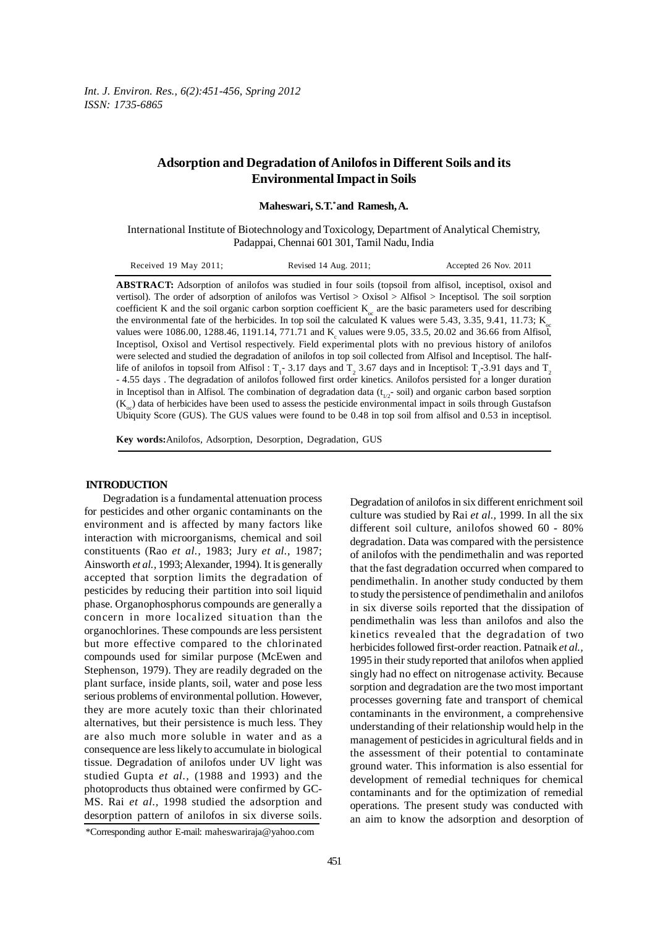*Int. J. Environ. Res., 6(2):451-456, Spring 2012 ISSN: 1735-6865*

# **Adsorption and Degradation of Anilofos in Different Soils and its Environmental Impact in Soils**

**Maheswari, S.T.\* and Ramesh, A.**

International Institute of Biotechnology and Toxicology, Department of Analytical Chemistry, Padappai, Chennai 601 301, Tamil Nadu, India

| Received 19 May 2011; | Revised 14 Aug. 2011; | Accepted 26 Nov. 2011 |
|-----------------------|-----------------------|-----------------------|
|-----------------------|-----------------------|-----------------------|

**ABSTRACT:** Adsorption of anilofos was studied in four soils (topsoil from alfisol, inceptisol, oxisol and vertisol). The order of adsorption of anilofos was Vertisol > Oxisol > Alfisol > Inceptisol. The soil sorption coefficient K and the soil organic carbon sorption coefficient  $K_{\alpha}$  are the basic parameters used for describing the environmental fate of the herbicides. In top soil the calculated K values were 5.43, 3.35, 9.41, 11.73;  $K_{eq}$ values were  $1086.00$ ,  $1288.46$ ,  $1191.14$ ,  $771.71$  and K<sub>c</sub> values were 9.05, 33.5, 20.02 and 36.66 from Alfisol, Inceptisol, Oxisol and Vertisol respectively. Field experimental plots with no previous history of anilofos were selected and studied the degradation of anilofos in top soil collected from Alfisol and Inceptisol. The halflife of anilofos in topsoil from Alfisol :  $T_1$ - 3.17 days and  $T_2$  3.67 days and in Inceptisol:  $T_1$ -3.91 days and  $T_2$ - 4.55 days . The degradation of anilofos followed first order kinetics. Anilofos persisted for a longer duration in Inceptisol than in Alfisol. The combination of degradation data  $(t_{1/2}$ - soil) and organic carbon based sorption  $(K_{\sim})$  data of herbicides have been used to assess the pesticide environmental impact in soils through Gustafson Ubiquity Score (GUS). The GUS values were found to be 0.48 in top soil from alfisol and 0.53 in inceptisol.

**Key words:**Anilofos, Adsorption, Desorption, Degradation, GUS

#### **INTRODUCTION**

Degradation is a fundamental attenuation process for pesticides and other organic contaminants on the environment and is affected by many factors like interaction with microorganisms, chemical and soil constituents (Rao *et al.,* 1983; Jury *et al.,* 1987; Ainsworth *et al.,* 1993; Alexander, 1994). It is generally accepted that sorption limits the degradation of pesticides by reducing their partition into soil liquid phase. Organophosphorus compounds are generally a concern in more localized situation than the organochlorines. These compounds are less persistent but more effective compared to the chlorinated compounds used for similar purpose (McEwen and Stephenson, 1979). They are readily degraded on the plant surface, inside plants, soil, water and pose less serious problems of environmental pollution. However, they are more acutely toxic than their chlorinated alternatives, but their persistence is much less. They are also much more soluble in water and as a consequence are less likely to accumulate in biological tissue. Degradation of anilofos under UV light was studied Gupta *et al.,* (1988 and 1993) and the photoproducts thus obtained were confirmed by GC-MS. Rai *et al.,* 1998 studied the adsorption and desorption pattern of anilofos in six diverse soils.

Degradation of anilofos in six different enrichment soil culture was studied by Rai *et al.,* 1999. In all the six different soil culture, anilofos showed 60 - 80% degradation. Data was compared with the persistence of anilofos with the pendimethalin and was reported that the fast degradation occurred when compared to pendimethalin. In another study conducted by them to study the persistence of pendimethalin and anilofos in six diverse soils reported that the dissipation of pendimethalin was less than anilofos and also the kinetics revealed that the degradation of two herbicides followed first-order reaction. Patnaik *et al.,* 1995 in their study reported that anilofos when applied singly had no effect on nitrogenase activity. Because sorption and degradation are the two most important processes governing fate and transport of chemical contaminants in the environment, a comprehensive understanding of their relationship would help in the management of pesticides in agricultural fields and in the assessment of their potential to contaminate ground water. This information is also essential for development of remedial techniques for chemical contaminants and for the optimization of remedial operations. The present study was conducted with an aim to know the adsorption and desorption of

<sup>\*</sup>Corresponding author E-mail: maheswariraja@yahoo.com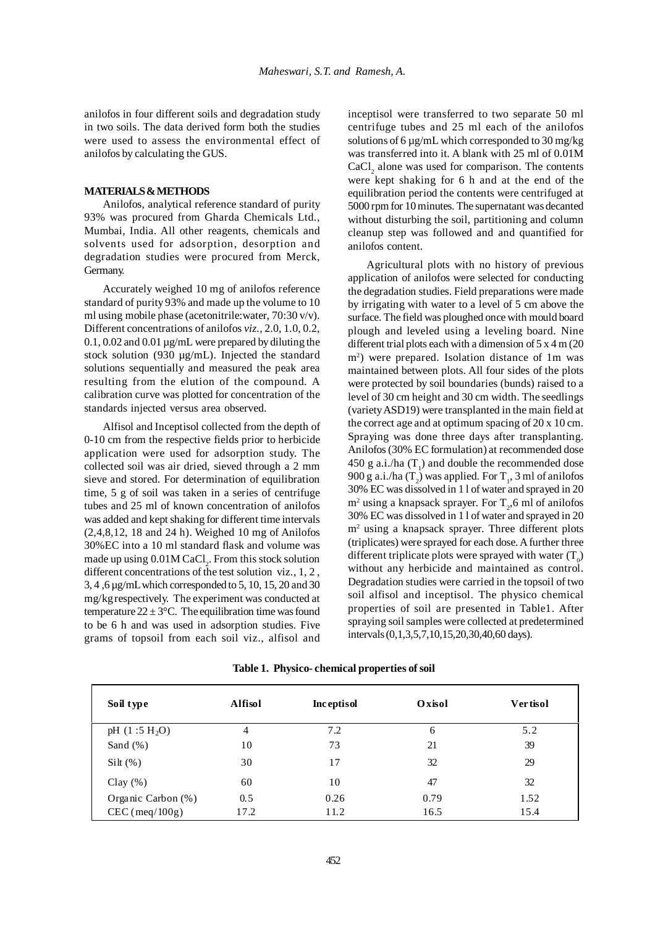anilofos in four different soils and degradation study in two soils. The data derived form both the studies were used to assess the environmental effect of anilofos by calculating the GUS.

## **MATERIALS & METHODS**

Anilofos, analytical reference standard of purity 93% was procured from Gharda Chemicals Ltd., Mumbai, India. All other reagents, chemicals and solvents used for adsorption, desorption and degradation studies were procured from Merck, Germany.

Accurately weighed 10 mg of anilofos reference standard of purity 93% and made up the volume to 10 ml using mobile phase (acetonitrile:water, 70:30 v/v). Different concentrations of anilofos *viz.,* 2.0, 1.0, 0.2, 0.1, 0.02 and 0.01 µg/mL were prepared by diluting the stock solution (930 µg/mL). Injected the standard solutions sequentially and measured the peak area resulting from the elution of the compound. A calibration curve was plotted for concentration of the standards injected versus area observed.

Alfisol and Inceptisol collected from the depth of 0-10 cm from the respective fields prior to herbicide application were used for adsorption study. The collected soil was air dried, sieved through a 2 mm sieve and stored. For determination of equilibration time, 5 g of soil was taken in a series of centrifuge tubes and 25 ml of known concentration of anilofos was added and kept shaking for different time intervals (2,4,8,12, 18 and 24 h). Weighed 10 mg of Anilofos 30%EC into a 10 ml standard flask and volume was made up using  $0.01M$  CaCl<sub>2</sub>. From this stock solution different concentrations of the test solution viz., 1, 2 , 3, 4 ,6 µg/mLwhich corresponded to 5, 10, 15, 20 and 30 mg/kgrespectively. The experiment was conducted at temperature  $22 \pm 3$ °C. The equilibration time was found to be 6 h and was used in adsorption studies. Five grams of topsoil from each soil viz., alfisol and

inceptisol were transferred to two separate 50 ml centrifuge tubes and 25 ml each of the anilofos solutions of 6  $\mu$ g/mL which corresponded to 30 mg/kg was transferred into it. A blank with 25 ml of 0.01M  $CaCl<sub>2</sub>$  alone was used for comparison. The contents were kept shaking for 6 h and at the end of the equilibration period the contents were centrifuged at 5000 rpm for 10 minutes. The supernatant was decanted without disturbing the soil, partitioning and column cleanup step was followed and and quantified for anilofos content.

Agricultural plots with no history of previous application of anilofos were selected for conducting the degradation studies. Field preparations were made by irrigating with water to a level of 5 cm above the surface. The field was ploughed once with mould board plough and leveled using a leveling board. Nine different trial plots each with a dimension of 5 x 4 m (20) m2 ) were prepared. Isolation distance of 1m was maintained between plots. All four sides of the plots were protected by soil boundaries (bunds) raised to a level of 30 cm height and 30 cm width. The seedlings (variety ASD19) were transplanted in the main field at the correct age and at optimum spacing of 20 x 10 cm. Spraying was done three days after transplanting. Anilofos (30% EC formulation) at recommended dose 450 g a.i./ha  $(T_1)$  and double the recommended dose 900 g a.i./ha (T<sub>2</sub>) was applied. For T<sub>1</sub>, 3 ml of anilofos 30% EC was dissolved in 1 l of water and sprayed in 20  $m^2$  using a knapsack sprayer. For  $T_2$ ,6 ml of anilofos 30% EC was dissolved in 1 l of water and sprayed in 20 m2 using a knapsack sprayer. Three different plots (triplicates) were sprayed for each dose. A further three different triplicate plots were sprayed with water  $(T_0)$ without any herbicide and maintained as control. Degradation studies were carried in the topsoil of two soil alfisol and inceptisol. The physico chemical properties of soil are presented in Table1. After spraying soil samples were collected at predetermined intervals (0,1,3,5,7,10,15,20,30,40,60 days).

| Soil type          | Alfisol | <b>Inceptisol</b> | Oxisol | Vertisol |
|--------------------|---------|-------------------|--------|----------|
| pH $(1:5 H_2O)$    | 4       | 7.2               | 6      | 5.2      |
| Sand $(\%)$        | 10      | 73                | 21     | 39       |
| $Silt$ (%)         | 30      | 17                | 32     | 29       |
| Clay $(\% )$       | 60      | 10                | 47     | 32       |
| Organic Carbon (%) | 0.5     | 0.26              | 0.79   | 1.52     |
| $CEC$ (meq/100g)   | 17.2    | 11.2              | 16.5   | 15.4     |

**Table 1. Physico- chemical properties of soil**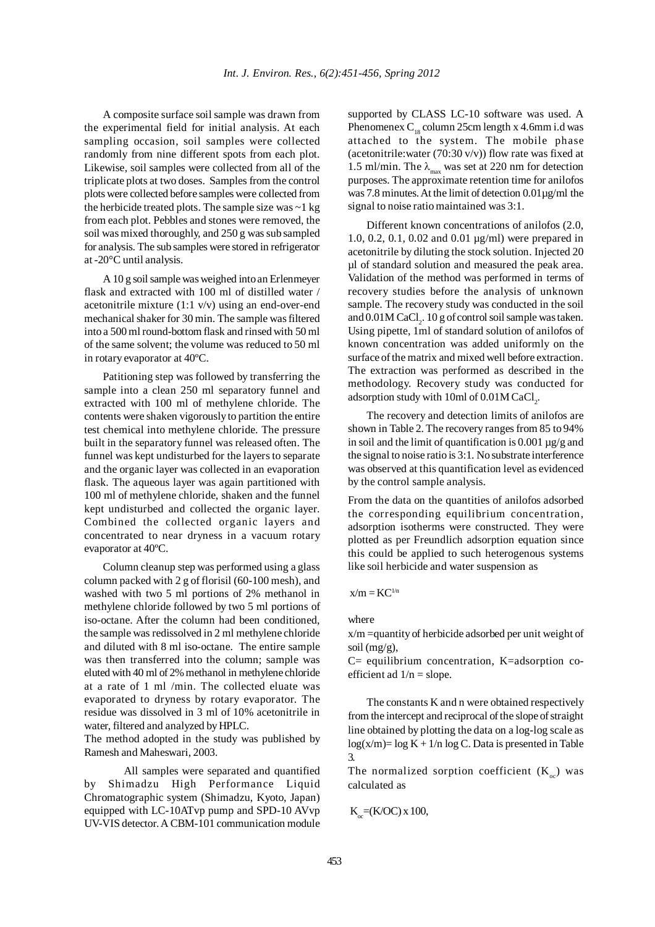A composite surface soil sample was drawn from the experimental field for initial analysis. At each sampling occasion, soil samples were collected randomly from nine different spots from each plot. Likewise, soil samples were collected from all of the triplicate plots at two doses. Samples from the control plots were collected before samples were collected from the herbicide treated plots. The sample size was  $\sim$ 1 kg from each plot. Pebbles and stones were removed, the soil was mixed thoroughly, and 250 g was sub sampled for analysis. The sub samples were stored in refrigerator at -20°C until analysis.

A 10 g soil sample was weighed into an Erlenmeyer flask and extracted with 100 ml of distilled water / acetonitrile mixture (1:1 v/v) using an end-over-end mechanical shaker for 30 min. The sample was filtered into a 500 ml round-bottom flask and rinsed with 50 ml of the same solvent; the volume was reduced to 50 ml in rotary evaporator at 40ºC.

Patitioning step was followed by transferring the sample into a clean 250 ml separatory funnel and extracted with 100 ml of methylene chloride. The contents were shaken vigorously to partition the entire test chemical into methylene chloride. The pressure built in the separatory funnel was released often. The funnel was kept undisturbed for the layers to separate and the organic layer was collected in an evaporation flask. The aqueous layer was again partitioned with 100 ml of methylene chloride, shaken and the funnel kept undisturbed and collected the organic layer. Combined the collected organic layers and concentrated to near dryness in a vacuum rotary evaporator at 40ºC.

Column cleanup step was performed using a glass column packed with 2 g of florisil (60-100 mesh), and washed with two 5 ml portions of 2% methanol in methylene chloride followed by two 5 ml portions of iso-octane. After the column had been conditioned, the sample was redissolved in 2 ml methylene chloride and diluted with 8 ml iso-octane. The entire sample was then transferred into the column; sample was eluted with 40 ml of 2% methanol in methylene chloride at a rate of 1 ml /min. The collected eluate was evaporated to dryness by rotary evaporator. The residue was dissolved in 3 ml of 10% acetonitrile in water, filtered and analyzed by HPLC.

The method adopted in the study was published by Ramesh and Maheswari, 2003.

All samples were separated and quantified by Shimadzu High Performance Liquid Chromatographic system (Shimadzu, Kyoto, Japan) equipped with LC-10ATvp pump and SPD-10 AVvp UV-VIS detector. A CBM-101 communication module supported by CLASS LC-10 software was used. A Phenomenex  $C_{18}$  column 25cm length x 4.6mm i.d was attached to the system. The mobile phase (acetonitrile:water  $(70:30 \text{ v/v})$ ) flow rate was fixed at 1.5 ml/min. The  $\lambda_{\text{max}}$  was set at 220 nm for detection purposes. The approximate retention time for anilofos was 7.8 minutes. At the limit of detection 0.01µg/ml the signal to noise ratio maintained was 3:1.

Different known concentrations of anilofos (2.0, 1.0, 0.2, 0.1, 0.02 and 0.01 µg/ml) were prepared in acetonitrile by diluting the stock solution. Injected 20 µl of standard solution and measured the peak area. Validation of the method was performed in terms of recovery studies before the analysis of unknown sample. The recovery study was conducted in the soil and  $0.01$ M CaCl<sub>2</sub>. 10 g of control soil sample was taken. Using pipette, 1ml of standard solution of anilofos of known concentration was added uniformly on the surface of the matrix and mixed well before extraction. The extraction was performed as described in the methodology. Recovery study was conducted for adsorption study with  $10<sub>m</sub>$  of  $0.01<sub>M</sub>$  CaCl<sub>2</sub>.

The recovery and detection limits of anilofos are shown in Table 2. The recovery ranges from 85 to 94% in soil and the limit of quantification is 0.001  $\mu$ g/g and the signal to noise ratio is 3:1. No substrate interference was observed at this quantification level as evidenced by the control sample analysis.

From the data on the quantities of anilofos adsorbed the corresponding equilibrium concentration, adsorption isotherms were constructed. They were plotted as per Freundlich adsorption equation since this could be applied to such heterogenous systems like soil herbicide and water suspension as

 $x/m = KC^{1/n}$ 

where

x/m =quantity of herbicide adsorbed per unit weight of soil  $(mg/g)$ ,

C= equilibrium concentration, K=adsorption coefficient ad  $1/n =$ slope.

The constants K and n were obtained respectively from the intercept and reciprocal of the slope of straight line obtained by plotting the data on a log-log scale as  $log(x/m) = log K + 1/n log C$ . Data is presented in Table 3.

The normalized sorption coefficient  $(K_{\infty})$  was calculated as

$$
K_{\alpha} = (K/OC) \times 100,
$$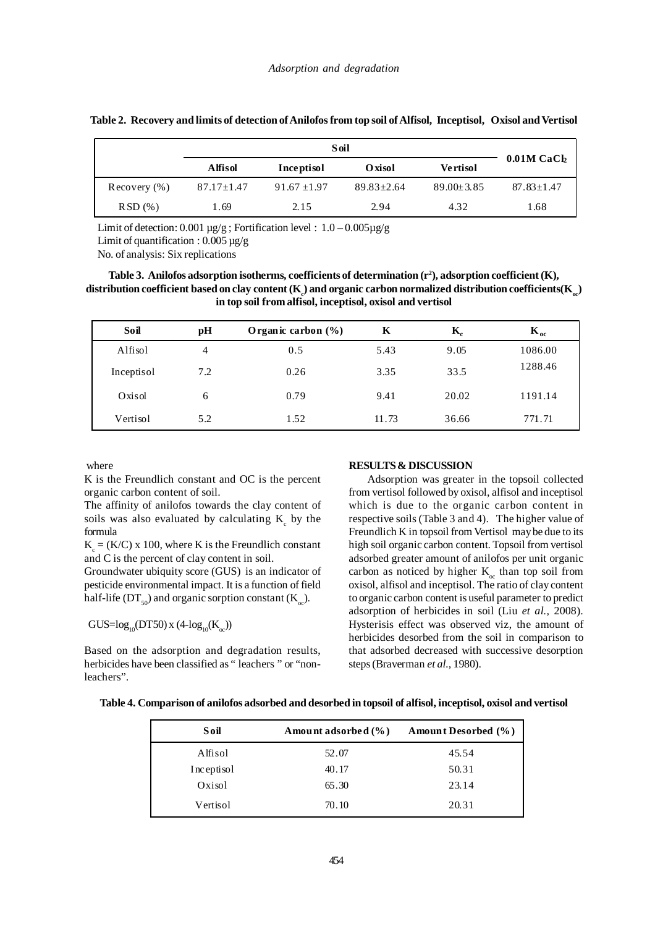|                  | Alfisol          | <b>Inceptisol</b> | Oxisol           | <b>Vertisol</b>  | $0.01M$ CaCl <sub>2</sub> |
|------------------|------------------|-------------------|------------------|------------------|---------------------------|
| Recovery $(\% )$ | $87.17 \pm 1.47$ | $91.67 \pm 1.97$  | $89.83 \pm 2.64$ | $89.00 \pm 3.85$ | $87.83 \pm 1.47$          |
| $RSD(\%)$        | 1.69             | 2.15              | 2.94             | 4.32             | 1.68                      |

|  |  | Table 2. Recovery and limits of detection of Anilofos from top soil of Alfisol, Inceptisol, Oxisol and Vertisol |  |  |  |
|--|--|-----------------------------------------------------------------------------------------------------------------|--|--|--|
|--|--|-----------------------------------------------------------------------------------------------------------------|--|--|--|

Limit of detection: 0.001  $\mu$ g/g; Fortification level : 1.0 – 0.005 $\mu$ g/g

Limit of quantification :  $0.005 \mu$ g/g

No. of analysis: Six replications

## **Table 3. Anilofos adsorption isotherms, coefficients of determination (r2 ), adsorption coefficient (K),**  $d$  istribution coefficient based on clay content (K  $_c$ ) and organic carbon normalized distribution coefficients(K  $_{\!{\omega}}$ **in top soil from alfisol, inceptisol, oxisol and vertisol**

| Soil       | рH  | Organic carbon $(\% )$ | К     | $\mathbf{K}_{\mathrm{e}}$ | $K_{oc}$ |
|------------|-----|------------------------|-------|---------------------------|----------|
| Alfisol    | 4   | 0.5                    | 5.43  | 9.05                      | 1086.00  |
| Inceptisol | 7.2 | 0.26                   | 3.35  | 33.5                      | 1288.46  |
| Oxisol     | 6   | 0.79                   | 9.41  | 20.02                     | 1191.14  |
| Vertisol   | 5.2 | 1.52                   | 11.73 | 36.66                     | 771.71   |

where

K is the Freundlich constant and OC is the percent organic carbon content of soil.

The affinity of anilofos towards the clay content of soils was also evaluated by calculating  $K_c$  by the formula

 $K_c = (K/C)$  x 100, where K is the Freundlich constant and C is the percent of clay content in soil.

Groundwater ubiquity score (GUS) is an indicator of pesticide environmental impact. It is a function of field half-life ( $DT<sub>50</sub>$ ) and organic sorption constant (K<sub>n</sub>).

 $GUS = log_{10}(DT50)$  x (4-log<sub>10</sub>(K<sub>oc</sub>))

Based on the adsorption and degradation results, herbicides have been classified as " leachers " or "nonleachers".

## **RESULTS & DISCUSSION**

Adsorption was greater in the topsoil collected from vertisol followed by oxisol, alfisol and inceptisol which is due to the organic carbon content in respective soils (Table 3 and 4). The higher value of Freundlich K in topsoil from Vertisol may be due to its high soil organic carbon content. Topsoil from vertisol adsorbed greater amount of anilofos per unit organic carbon as noticed by higher  $K_{\infty}$  than top soil from oxisol, alfisol and inceptisol. The ratio of clay content to organic carbon content is useful parameter to predict adsorption of herbicides in soil (Liu *et al.,* 2008). Hysterisis effect was observed viz, the amount of herbicides desorbed from the soil in comparison to that adsorbed decreased with successive desorption steps (Braverman *et al.,* 1980).

| Table 4. Comparison of anilofos adsorbed and desorbed in topsoil of alfisol, inceptisol, oxisol and vertisol |  |  |  |  |  |  |  |  |  |
|--------------------------------------------------------------------------------------------------------------|--|--|--|--|--|--|--|--|--|
|                                                                                                              |  |  |  |  |  |  |  |  |  |

| Soil       | Amount adsorbed (%) | Amount Desorbed (%) |
|------------|---------------------|---------------------|
| Alfisol    | 52.07               | 45.54               |
| Inceptisol | 40.17               | 50.31               |
| Oxisol     | 65.30               | 23.14               |
| Vertisol   | 70.10               | 20.31               |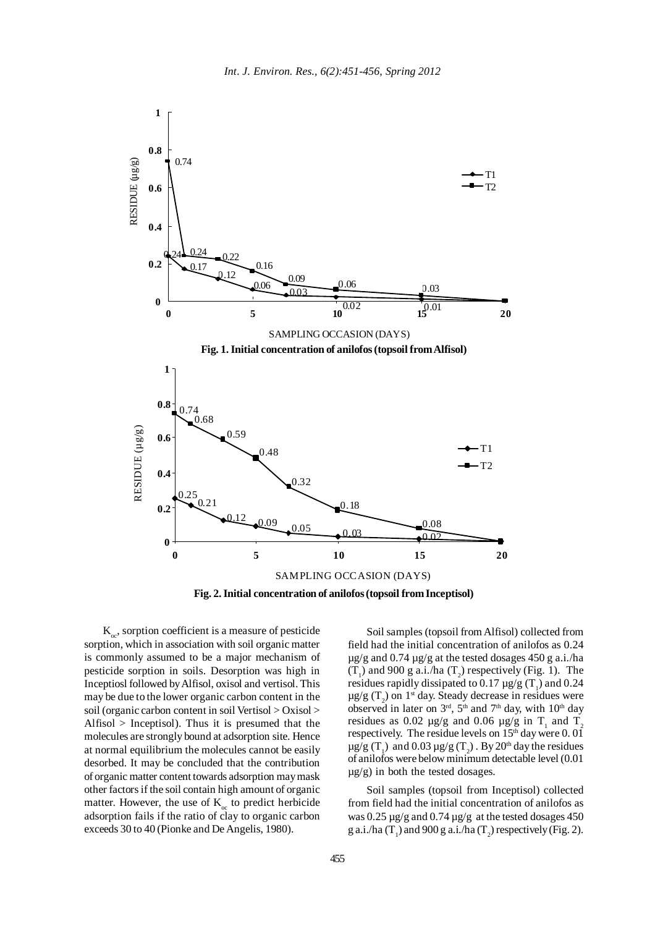

 $K_{\infty}$ , sorption coefficient is a measure of pesticide sorption, which in association with soil organic matter is commonly assumed to be a major mechanism of pesticide sorption in soils. Desorption was high in Inceptiosl followed by Alfisol, oxisol and vertisol. This may be due to the lower organic carbon content in the soil (organic carbon content in soil Vertisol > Oxisol > Alfisol > Inceptisol). Thus it is presumed that the molecules are strongly bound at adsorption site. Hence at normal equilibrium the molecules cannot be easily desorbed. It may be concluded that the contribution of organic matter content towards adsorption may mask other factors if the soil contain high amount of organic matter. However, the use of  $K_{oc}$  to predict herbicide adsorption fails if the ratio of clay to organic carbon exceeds 30 to 40 (Pionke and De Angelis, 1980).

Soil samples (topsoil from Alfisol) collected from field had the initial concentration of anilofos as 0.24  $\mu$ g/g and 0.74  $\mu$ g/g at the tested dosages 450 g a.i./ha  $(T_1)$  and 900 g a.i./ha  $(T_2)$  respectively (Fig. 1). The residues rapidly dissipated to 0.17  $\mu$ g/g (T<sub>1</sub>) and 0.24  $\mu$ g/g (T<sub>2</sub>) on 1<sup>st</sup> day. Steady decrease in residues were observed in later on  $3<sup>rd</sup>$ ,  $5<sup>th</sup>$  and  $7<sup>th</sup>$  day, with  $10<sup>th</sup>$  day residues as 0.02  $\mu$ g/g and 0.06  $\mu$ g/g in T<sub>1</sub> and T<sub>2</sub> respectively. The residue levels on  $15<sup>th</sup>$  day were 0.01  $\mu$ g/g (T<sub>1</sub>) and 0.03  $\mu$ g/g (T<sub>2</sub>). By 20<sup>th</sup> day the residues of anilofos were below minimum detectable level (0.01  $\mu$ g/g) in both the tested dosages.

Soil samples (topsoil from Inceptisol) collected from field had the initial concentration of anilofos as was  $0.25 \mu$ g/g and  $0.74 \mu$ g/g at the tested dosages 450 g a.i./ha (T<sub>1</sub>) and 900 g a.i./ha (T<sub>2</sub>) respectively (Fig. 2).